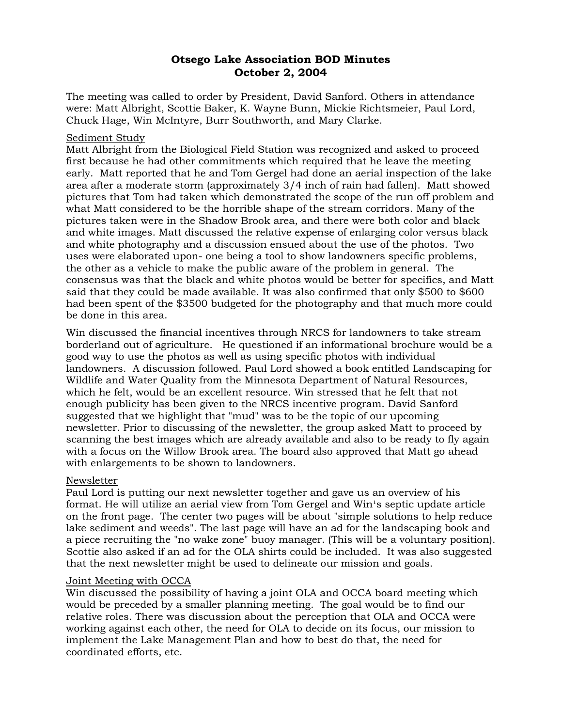# **Otsego Lake Association BOD Minutes October 2, 2004**

The meeting was called to order by President, David Sanford. Others in attendance were: Matt Albright, Scottie Baker, K. Wayne Bunn, Mickie Richtsmeier, Paul Lord, Chuck Hage, Win McIntyre, Burr Southworth, and Mary Clarke.

## Sediment Study

Matt Albright from the Biological Field Station was recognized and asked to proceed first because he had other commitments which required that he leave the meeting early. Matt reported that he and Tom Gergel had done an aerial inspection of the lake area after a moderate storm (approximately 3/4 inch of rain had fallen). Matt showed pictures that Tom had taken which demonstrated the scope of the run off problem and what Matt considered to be the horrible shape of the stream corridors. Many of the pictures taken were in the Shadow Brook area, and there were both color and black and white images. Matt discussed the relative expense of enlarging color versus black and white photography and a discussion ensued about the use of the photos. Two uses were elaborated upon- one being a tool to show landowners specific problems, the other as a vehicle to make the public aware of the problem in general. The consensus was that the black and white photos would be better for specifics, and Matt said that they could be made available. It was also confirmed that only \$500 to \$600 had been spent of the \$3500 budgeted for the photography and that much more could be done in this area.

Win discussed the financial incentives through NRCS for landowners to take stream borderland out of agriculture. He questioned if an informational brochure would be a good way to use the photos as well as using specific photos with individual landowners. A discussion followed. Paul Lord showed a book entitled Landscaping for Wildlife and Water Quality from the Minnesota Department of Natural Resources, which he felt, would be an excellent resource. Win stressed that he felt that not enough publicity has been given to the NRCS incentive program. David Sanford suggested that we highlight that "mud" was to be the topic of our upcoming newsletter. Prior to discussing of the newsletter, the group asked Matt to proceed by scanning the best images which are already available and also to be ready to fly again with a focus on the Willow Brook area. The board also approved that Matt go ahead with enlargements to be shown to landowners.

## Newsletter

Paul Lord is putting our next newsletter together and gave us an overview of his format. He will utilize an aerial view from Tom Gergel and Win<sup>1</sup>s septic update article on the front page. The center two pages will be about "simple solutions to help reduce lake sediment and weeds". The last page will have an ad for the landscaping book and a piece recruiting the "no wake zone" buoy manager. (This will be a voluntary position). Scottie also asked if an ad for the OLA shirts could be included. It was also suggested that the next newsletter might be used to delineate our mission and goals.

## Joint Meeting with OCCA

Win discussed the possibility of having a joint OLA and OCCA board meeting which would be preceded by a smaller planning meeting. The goal would be to find our relative roles. There was discussion about the perception that OLA and OCCA were working against each other, the need for OLA to decide on its focus, our mission to implement the Lake Management Plan and how to best do that, the need for coordinated efforts, etc.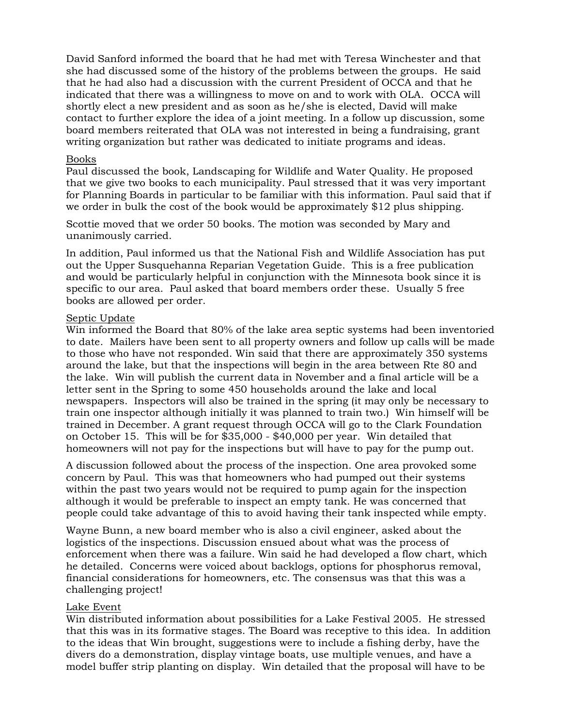David Sanford informed the board that he had met with Teresa Winchester and that she had discussed some of the history of the problems between the groups. He said that he had also had a discussion with the current President of OCCA and that he indicated that there was a willingness to move on and to work with OLA. OCCA will shortly elect a new president and as soon as he/she is elected, David will make contact to further explore the idea of a joint meeting. In a follow up discussion, some board members reiterated that OLA was not interested in being a fundraising, grant writing organization but rather was dedicated to initiate programs and ideas.

## Books

Paul discussed the book, Landscaping for Wildlife and Water Quality. He proposed that we give two books to each municipality. Paul stressed that it was very important for Planning Boards in particular to be familiar with this information. Paul said that if we order in bulk the cost of the book would be approximately \$12 plus shipping.

Scottie moved that we order 50 books. The motion was seconded by Mary and unanimously carried.

In addition, Paul informed us that the National Fish and Wildlife Association has put out the Upper Susquehanna Reparian Vegetation Guide. This is a free publication and would be particularly helpful in conjunction with the Minnesota book since it is specific to our area. Paul asked that board members order these. Usually 5 free books are allowed per order.

## Septic Update

Win informed the Board that 80% of the lake area septic systems had been inventoried to date. Mailers have been sent to all property owners and follow up calls will be made to those who have not responded. Win said that there are approximately 350 systems around the lake, but that the inspections will begin in the area between Rte 80 and the lake. Win will publish the current data in November and a final article will be a letter sent in the Spring to some 450 households around the lake and local newspapers. Inspectors will also be trained in the spring (it may only be necessary to train one inspector although initially it was planned to train two.) Win himself will be trained in December. A grant request through OCCA will go to the Clark Foundation on October 15. This will be for \$35,000 - \$40,000 per year. Win detailed that homeowners will not pay for the inspections but will have to pay for the pump out.

A discussion followed about the process of the inspection. One area provoked some concern by Paul. This was that homeowners who had pumped out their systems within the past two years would not be required to pump again for the inspection although it would be preferable to inspect an empty tank. He was concerned that people could take advantage of this to avoid having their tank inspected while empty.

Wayne Bunn, a new board member who is also a civil engineer, asked about the logistics of the inspections. Discussion ensued about what was the process of enforcement when there was a failure. Win said he had developed a flow chart, which he detailed. Concerns were voiced about backlogs, options for phosphorus removal, financial considerations for homeowners, etc. The consensus was that this was a challenging project!

## Lake Event

Win distributed information about possibilities for a Lake Festival 2005. He stressed that this was in its formative stages. The Board was receptive to this idea. In addition to the ideas that Win brought, suggestions were to include a fishing derby, have the divers do a demonstration, display vintage boats, use multiple venues, and have a model buffer strip planting on display. Win detailed that the proposal will have to be